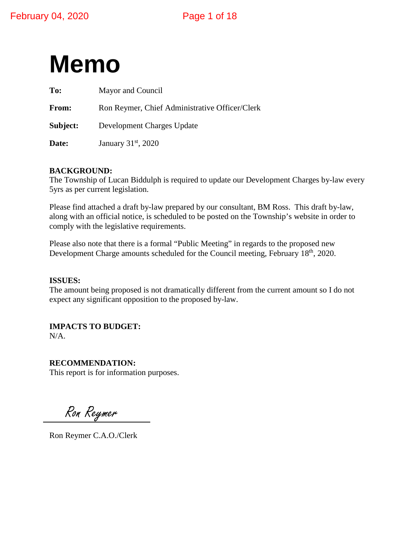

| To:      | Mayor and Council                              |  |  |
|----------|------------------------------------------------|--|--|
| From:    | Ron Reymer, Chief Administrative Officer/Clerk |  |  |
| Subject: | Development Charges Update                     |  |  |
| Date:    | January 31 <sup>st</sup> , 2020                |  |  |

#### **BACKGROUND:**

The Township of Lucan Biddulph is required to update our Development Charges by-law every 5yrs as per current legislation.

Please find attached a draft by-law prepared by our consultant, BM Ross. This draft by-law, along with an official notice, is scheduled to be posted on the Township's website in order to comply with the legislative requirements.

Please also note that there is a formal "Public Meeting" in regards to the proposed new Development Charge amounts scheduled for the Council meeting, February 18<sup>th</sup>, 2020.

#### **ISSUES:**

The amount being proposed is not dramatically different from the current amount so I do not expect any significant opposition to the proposed by-law.

**IMPACTS TO BUDGET:** N/A.

**RECOMMENDATION:** This report is for information purposes.

Ron Reymer

Ron Reymer C.A.O./Clerk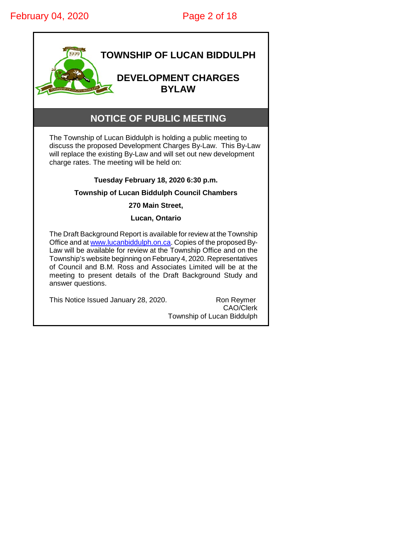

# **NOTICE OF PUBLIC MEETING**

The Township of Lucan Biddulph is holding a public meeting to discuss the proposed Development Charges By-Law. This By-Law will replace the existing By-Law and will set out new development charge rates. The meeting will be held on:

#### **Tuesday February 18, 2020 6:30 p.m.**

#### **Township of Lucan Biddulph Council Chambers**

**270 Main Street,**

#### **Lucan, Ontario**

The Draft Background Report is available for review at the Township Office and at [www.lucanbiddulph.on.ca.](http://www.lucanbiddulph.on.ca/) Copies of the proposed By-Law will be available for review at the Township Office and on the Township's website beginning on February 4, 2020. Representatives of Council and B.M. Ross and Associates Limited will be at the meeting to present details of the Draft Background Study and answer questions.

This Notice Issued January 28, 2020. Ron Reymer

CAO/Clerk Township of Lucan Biddulph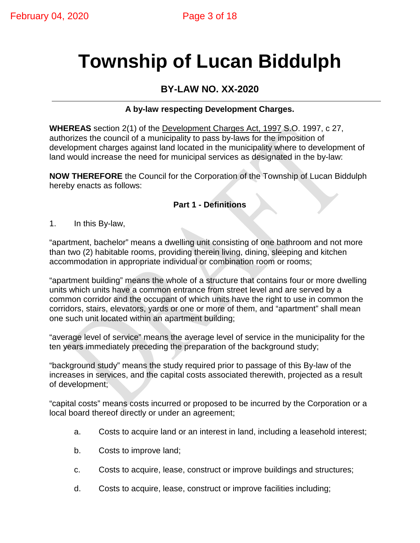# **Township of Lucan Biddulph**

# **BY-LAW NO. XX-2020**

# **A by-law respecting Development Charges.**

**WHEREAS** section 2(1) of the Development Charges Act, 1997 S.O. 1997, c 27, authorizes the council of a municipality to pass by-laws for the imposition of development charges against land located in the municipality where to development of land would increase the need for municipal services as designated in the by-law:

**NOW THEREFORE** the Council for the Corporation of the Township of Lucan Biddulph hereby enacts as follows:

## **Part 1 - Definitions**

1. In this By-law,

"apartment, bachelor" means a dwelling unit consisting of one bathroom and not more than two (2) habitable rooms, providing therein living, dining, sleeping and kitchen accommodation in appropriate individual or combination room or rooms;

"apartment building" means the whole of a structure that contains four or more dwelling units which units have a common entrance from street level and are served by a common corridor and the occupant of which units have the right to use in common the corridors, stairs, elevators, yards or one or more of them, and "apartment" shall mean one such unit located within an apartment building;

"average level of service" means the average level of service in the municipality for the ten years immediately preceding the preparation of the background study;

"background study" means the study required prior to passage of this By-law of the increases in services, and the capital costs associated therewith, projected as a result of development;

"capital costs" means costs incurred or proposed to be incurred by the Corporation or a local board thereof directly or under an agreement;

- a. Costs to acquire land or an interest in land, including a leasehold interest;
- b. Costs to improve land;
- c. Costs to acquire, lease, construct or improve buildings and structures;
- d. Costs to acquire, lease, construct or improve facilities including;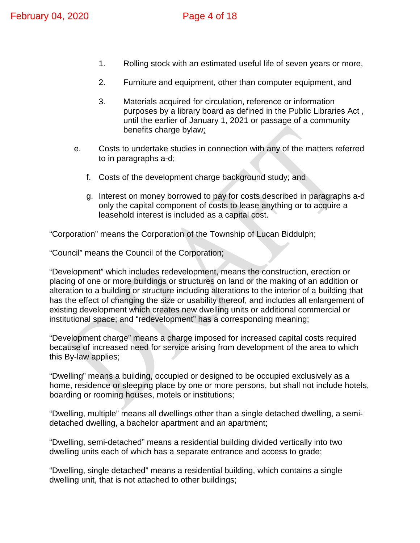- 1. Rolling stock with an estimated useful life of seven years or more,
- 2. Furniture and equipment, other than computer equipment, and
- 3. Materials acquired for circulation, reference or information purposes by a library board as defined in the Public Libraries Act , until the earlier of January 1, 2021 or passage of a community benefits charge bylaw;
- e. Costs to undertake studies in connection with any of the matters referred to in paragraphs a-d;
	- f. Costs of the development charge background study; and
	- g. Interest on money borrowed to pay for costs described in paragraphs a-d only the capital component of costs to lease anything or to acquire a leasehold interest is included as a capital cost.

"Corporation" means the Corporation of the Township of Lucan Biddulph;

"Council" means the Council of the Corporation;

"Development" which includes redevelopment, means the construction, erection or placing of one or more buildings or structures on land or the making of an addition or alteration to a building or structure including alterations to the interior of a building that has the effect of changing the size or usability thereof, and includes all enlargement of existing development which creates new dwelling units or additional commercial or institutional space; and "redevelopment" has a corresponding meaning;

"Development charge" means a charge imposed for increased capital costs required because of increased need for service arising from development of the area to which this By-law applies;

"Dwelling" means a building, occupied or designed to be occupied exclusively as a home, residence or sleeping place by one or more persons, but shall not include hotels, boarding or rooming houses, motels or institutions;

"Dwelling, multiple" means all dwellings other than a single detached dwelling, a semidetached dwelling, a bachelor apartment and an apartment;

"Dwelling, semi-detached" means a residential building divided vertically into two dwelling units each of which has a separate entrance and access to grade;

"Dwelling, single detached" means a residential building, which contains a single dwelling unit, that is not attached to other buildings;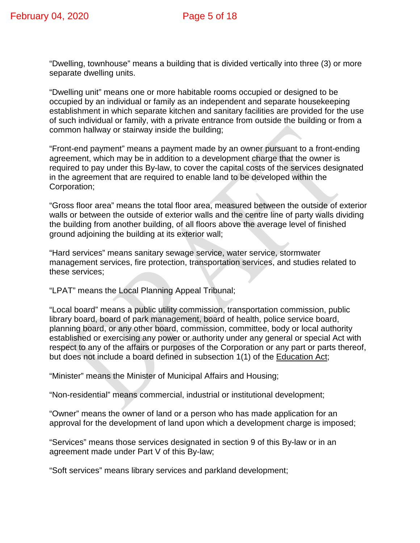"Dwelling, townhouse" means a building that is divided vertically into three (3) or more separate dwelling units.

"Dwelling unit" means one or more habitable rooms occupied or designed to be occupied by an individual or family as an independent and separate housekeeping establishment in which separate kitchen and sanitary facilities are provided for the use of such individual or family, with a private entrance from outside the building or from a common hallway or stairway inside the building;

"Front-end payment" means a payment made by an owner pursuant to a front-ending agreement, which may be in addition to a development charge that the owner is required to pay under this By-law, to cover the capital costs of the services designated in the agreement that are required to enable land to be developed within the Corporation;

"Gross floor area" means the total floor area, measured between the outside of exterior walls or between the outside of exterior walls and the centre line of party walls dividing the building from another building, of all floors above the average level of finished ground adjoining the building at its exterior wall;

"Hard services" means sanitary sewage service, water service, stormwater management services, fire protection, transportation services, and studies related to these services;

"LPAT" means the Local Planning Appeal Tribunal;

"Local board" means a public utility commission, transportation commission, public library board, board of park management, board of health, police service board, planning board, or any other board, commission, committee, body or local authority established or exercising any power or authority under any general or special Act with respect to any of the affairs or purposes of the Corporation or any part or parts thereof, but does not include a board defined in subsection 1(1) of the Education Act;

"Minister" means the Minister of Municipal Affairs and Housing;

"Non-residential" means commercial, industrial or institutional development;

"Owner" means the owner of land or a person who has made application for an approval for the development of land upon which a development charge is imposed;

"Services" means those services designated in section 9 of this By-law or in an agreement made under Part V of this By-law;

"Soft services" means library services and parkland development;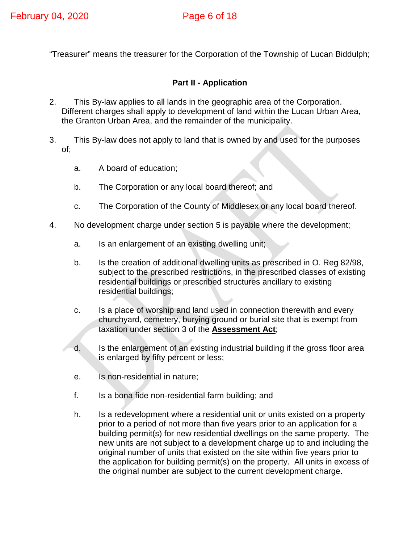"Treasurer" means the treasurer for the Corporation of the Township of Lucan Biddulph;

# **Part II - Application**

- 2. This By-law applies to all lands in the geographic area of the Corporation. Different charges shall apply to development of land within the Lucan Urban Area, the Granton Urban Area, and the remainder of the municipality.
- 3. This By-law does not apply to land that is owned by and used for the purposes of;
	- a. A board of education;
	- b. The Corporation or any local board thereof; and
	- c. The Corporation of the County of Middlesex or any local board thereof.
- 4. No development charge under section 5 is payable where the development;
	- a. Is an enlargement of an existing dwelling unit;
	- b. Is the creation of additional dwelling units as prescribed in O. Reg 82/98, subject to the prescribed restrictions, in the prescribed classes of existing residential buildings or prescribed structures ancillary to existing residential buildings;
	- c. Is a place of worship and land used in connection therewith and every churchyard, cemetery, burying ground or burial site that is exempt from taxation under section 3 of the **Assessment Act**;
	- d. Is the enlargement of an existing industrial building if the gross floor area is enlarged by fifty percent or less;
	- e. Is non-residential in nature;
	- f. Is a bona fide non-residential farm building; and
	- h. Is a redevelopment where a residential unit or units existed on a property prior to a period of not more than five years prior to an application for a building permit(s) for new residential dwellings on the same property. The new units are not subject to a development charge up to and including the original number of units that existed on the site within five years prior to the application for building permit(s) on the property. All units in excess of the original number are subject to the current development charge.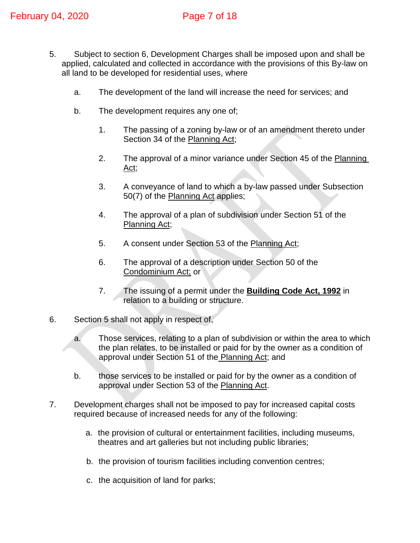- 5. Subject to section 6, Development Charges shall be imposed upon and shall be applied, calculated and collected in accordance with the provisions of this By-law on all land to be developed for residential uses, where
	- a. The development of the land will increase the need for services; and
	- b. The development requires any one of;
		- 1. The passing of a zoning by-law or of an amendment thereto under Section 34 of the Planning Act;
		- 2. The approval of a minor variance under Section 45 of the Planning Act;
		- 3. A conveyance of land to which a by-law passed under Subsection 50(7) of the Planning Act applies;
		- 4. The approval of a plan of subdivision under Section 51 of the Planning Act;
		- 5. A consent under Section 53 of the Planning Act;
		- 6. The approval of a description under Section 50 of the Condominium Act; or
		- 7. The issuing of a permit under the **Building Code Act, 1992** in relation to a building or structure.
- 6. Section 5 shall not apply in respect of,
	- a. Those services, relating to a plan of subdivision or within the area to which the plan relates, to be installed or paid for by the owner as a condition of approval under Section 51 of the Planning Act; and
	- b. those services to be installed or paid for by the owner as a condition of approval under Section 53 of the Planning Act.
- 7. Development charges shall not be imposed to pay for increased capital costs required because of increased needs for any of the following:
	- a. the provision of cultural or entertainment facilities, including museums, theatres and art galleries but not including public libraries;
	- b. the provision of tourism facilities including convention centres;
	- c. the acquisition of land for parks;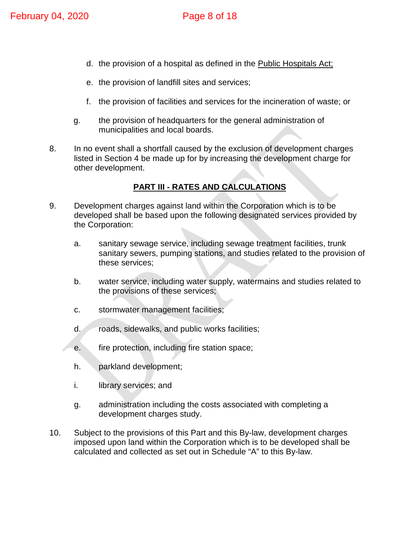- d. the provision of a hospital as defined in the Public Hospitals Act;
- e. the provision of landfill sites and services;
- f. the provision of facilities and services for the incineration of waste; or
- g. the provision of headquarters for the general administration of municipalities and local boards.
- 8. In no event shall a shortfall caused by the exclusion of development charges listed in Section 4 be made up for by increasing the development charge for other development.

# **PART III - RATES AND CALCULATIONS**

- 9. Development charges against land within the Corporation which is to be developed shall be based upon the following designated services provided by the Corporation:
	- a. sanitary sewage service, including sewage treatment facilities, trunk sanitary sewers, pumping stations, and studies related to the provision of these services;
	- b. water service, including water supply, watermains and studies related to the provisions of these services;
	- c. stormwater management facilities;
	- d. roads, sidewalks, and public works facilities;
	- e. fire protection, including fire station space;
	- h. parkland development;
	- i. library services; and
	- g. administration including the costs associated with completing a development charges study.
- 10. Subject to the provisions of this Part and this By-law, development charges imposed upon land within the Corporation which is to be developed shall be calculated and collected as set out in Schedule "A" to this By-law.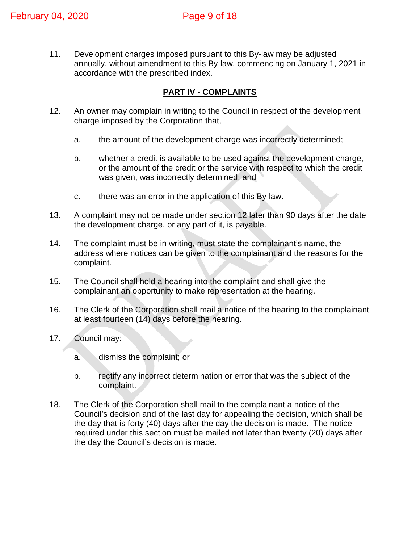11. Development charges imposed pursuant to this By-law may be adjusted annually, without amendment to this By-law, commencing on January 1, 2021 in accordance with the prescribed index.

# **PART IV - COMPLAINTS**

- 12. An owner may complain in writing to the Council in respect of the development charge imposed by the Corporation that,
	- a. the amount of the development charge was incorrectly determined;
	- b. whether a credit is available to be used against the development charge, or the amount of the credit or the service with respect to which the credit was given, was incorrectly determined; and
	- c. there was an error in the application of this By-law.
- 13. A complaint may not be made under section 12 later than 90 days after the date the development charge, or any part of it, is payable.
- 14. The complaint must be in writing, must state the complainant's name, the address where notices can be given to the complainant and the reasons for the complaint.
- 15. The Council shall hold a hearing into the complaint and shall give the complainant an opportunity to make representation at the hearing.
- 16. The Clerk of the Corporation shall mail a notice of the hearing to the complainant at least fourteen (14) days before the hearing.
- 17. Council may:
	- a. dismiss the complaint; or
	- b. rectify any incorrect determination or error that was the subject of the complaint.
- 18. The Clerk of the Corporation shall mail to the complainant a notice of the Council's decision and of the last day for appealing the decision, which shall be the day that is forty (40) days after the day the decision is made. The notice required under this section must be mailed not later than twenty (20) days after the day the Council's decision is made.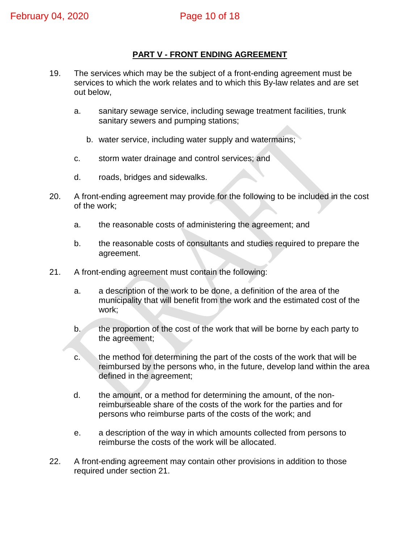# **PART V - FRONT ENDING AGREEMENT**

- 19. The services which may be the subject of a front-ending agreement must be services to which the work relates and to which this By-law relates and are set out below,
	- a. sanitary sewage service, including sewage treatment facilities, trunk sanitary sewers and pumping stations;
		- b. water service, including water supply and watermains;
	- c. storm water drainage and control services; and
	- d. roads, bridges and sidewalks.
- 20. A front-ending agreement may provide for the following to be included in the cost of the work;
	- a. the reasonable costs of administering the agreement; and
	- b. the reasonable costs of consultants and studies required to prepare the agreement.
- 21. A front-ending agreement must contain the following:
	- a. a description of the work to be done, a definition of the area of the municipality that will benefit from the work and the estimated cost of the work;
	- b. the proportion of the cost of the work that will be borne by each party to the agreement;
	- c. the method for determining the part of the costs of the work that will be reimbursed by the persons who, in the future, develop land within the area defined in the agreement;
	- d. the amount, or a method for determining the amount, of the nonreimburseable share of the costs of the work for the parties and for persons who reimburse parts of the costs of the work; and
	- e. a description of the way in which amounts collected from persons to reimburse the costs of the work will be allocated.
- 22. A front-ending agreement may contain other provisions in addition to those required under section 21.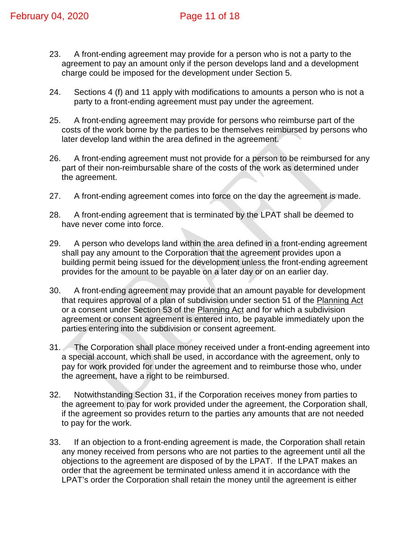- 23. A front-ending agreement may provide for a person who is not a party to the agreement to pay an amount only if the person develops land and a development charge could be imposed for the development under Section 5.
- 24. Sections 4 (f) and 11 apply with modifications to amounts a person who is not a party to a front-ending agreement must pay under the agreement.
- 25. A front-ending agreement may provide for persons who reimburse part of the costs of the work borne by the parties to be themselves reimbursed by persons who later develop land within the area defined in the agreement.
- 26. A front-ending agreement must not provide for a person to be reimbursed for any part of their non-reimbursable share of the costs of the work as determined under the agreement.
- 27. A front-ending agreement comes into force on the day the agreement is made.
- 28. A front-ending agreement that is terminated by the LPAT shall be deemed to have never come into force.
- 29. A person who develops land within the area defined in a front-ending agreement shall pay any amount to the Corporation that the agreement provides upon a building permit being issued for the development unless the front-ending agreement provides for the amount to be payable on a later day or on an earlier day.
- 30. A front-ending agreement may provide that an amount payable for development that requires approval of a plan of subdivision under section 51 of the Planning Act or a consent under Section 53 of the Planning Act and for which a subdivision agreement or consent agreement is entered into, be payable immediately upon the parties entering into the subdivision or consent agreement.
- 31. The Corporation shall place money received under a front-ending agreement into a special account, which shall be used, in accordance with the agreement, only to pay for work provided for under the agreement and to reimburse those who, under the agreement, have a right to be reimbursed.
- 32. Notwithstanding Section 31, if the Corporation receives money from parties to the agreement to pay for work provided under the agreement, the Corporation shall, if the agreement so provides return to the parties any amounts that are not needed to pay for the work.
- 33. If an objection to a front-ending agreement is made, the Corporation shall retain any money received from persons who are not parties to the agreement until all the objections to the agreement are disposed of by the LPAT. If the LPAT makes an order that the agreement be terminated unless amend it in accordance with the LPAT's order the Corporation shall retain the money until the agreement is either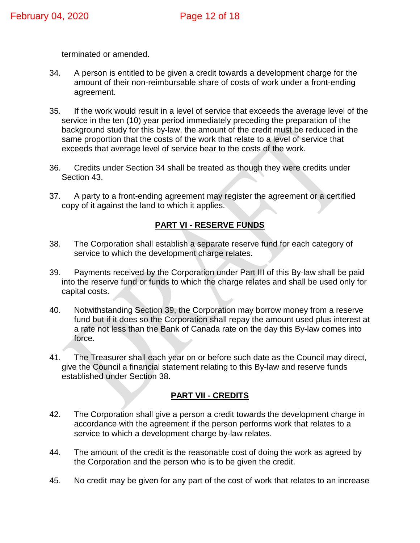terminated or amended.

- 34. A person is entitled to be given a credit towards a development charge for the amount of their non-reimbursable share of costs of work under a front-ending agreement.
- 35. If the work would result in a level of service that exceeds the average level of the service in the ten (10) year period immediately preceding the preparation of the background study for this by-law, the amount of the credit must be reduced in the same proportion that the costs of the work that relate to a level of service that exceeds that average level of service bear to the costs of the work.
- 36. Credits under Section 34 shall be treated as though they were credits under Section 43.
- 37. A party to a front-ending agreement may register the agreement or a certified copy of it against the land to which it applies.

# **PART VI - RESERVE FUNDS**

- 38. The Corporation shall establish a separate reserve fund for each category of service to which the development charge relates.
- 39. Payments received by the Corporation under Part III of this By-law shall be paid into the reserve fund or funds to which the charge relates and shall be used only for capital costs.
- 40. Notwithstanding Section 39, the Corporation may borrow money from a reserve fund but if it does so the Corporation shall repay the amount used plus interest at a rate not less than the Bank of Canada rate on the day this By-law comes into force.
- 41. The Treasurer shall each year on or before such date as the Council may direct, give the Council a financial statement relating to this By-law and reserve funds established under Section 38.

## **PART VII - CREDITS**

- 42. The Corporation shall give a person a credit towards the development charge in accordance with the agreement if the person performs work that relates to a service to which a development charge by-law relates.
- 44. The amount of the credit is the reasonable cost of doing the work as agreed by the Corporation and the person who is to be given the credit.
- 45. No credit may be given for any part of the cost of work that relates to an increase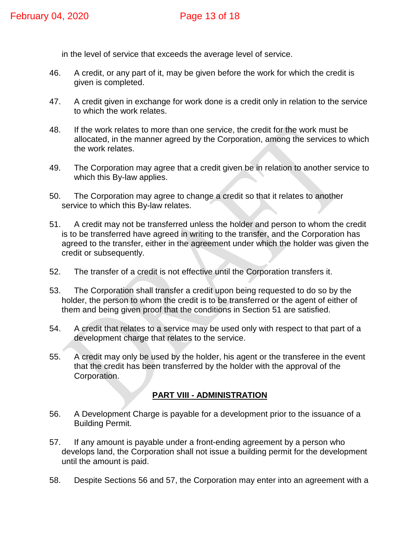in the level of service that exceeds the average level of service.

- 46. A credit, or any part of it, may be given before the work for which the credit is given is completed.
- 47. A credit given in exchange for work done is a credit only in relation to the service to which the work relates.
- 48. If the work relates to more than one service, the credit for the work must be allocated, in the manner agreed by the Corporation, among the services to which the work relates.
- 49. The Corporation may agree that a credit given be in relation to another service to which this By-law applies.
- 50. The Corporation may agree to change a credit so that it relates to another service to which this By-law relates.
- 51. A credit may not be transferred unless the holder and person to whom the credit is to be transferred have agreed in writing to the transfer, and the Corporation has agreed to the transfer, either in the agreement under which the holder was given the credit or subsequently.
- 52. The transfer of a credit is not effective until the Corporation transfers it.
- 53. The Corporation shall transfer a credit upon being requested to do so by the holder, the person to whom the credit is to be transferred or the agent of either of them and being given proof that the conditions in Section 51 are satisfied.
- 54. A credit that relates to a service may be used only with respect to that part of a development charge that relates to the service.
- 55. A credit may only be used by the holder, his agent or the transferee in the event that the credit has been transferred by the holder with the approval of the Corporation.

#### **PART VIII - ADMINISTRATION**

- 56. A Development Charge is payable for a development prior to the issuance of a Building Permit.
- 57. If any amount is payable under a front-ending agreement by a person who develops land, the Corporation shall not issue a building permit for the development until the amount is paid.
- 58. Despite Sections 56 and 57, the Corporation may enter into an agreement with a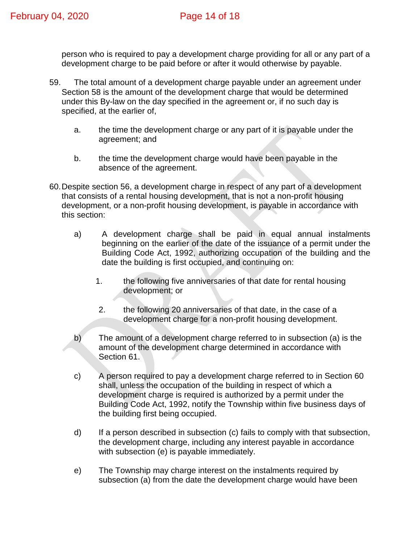person who is required to pay a development charge providing for all or any part of a development charge to be paid before or after it would otherwise by payable.

- 59. The total amount of a development charge payable under an agreement under Section 58 is the amount of the development charge that would be determined under this By-law on the day specified in the agreement or, if no such day is specified, at the earlier of,
	- a. the time the development charge or any part of it is payable under the agreement; and
	- b. the time the development charge would have been payable in the absence of the agreement.
- 60.Despite section 56, a development charge in respect of any part of a development that consists of a rental housing development, that is not a non-profit housing development, or a non-profit housing development, is payable in accordance with this section:
	- a) A development charge shall be paid in equal annual instalments beginning on the earlier of the date of the issuance of a permit under the Building Code Act, 1992, authorizing occupation of the building and the date the building is first occupied, and continuing on:
		- 1. the following five anniversaries of that date for rental housing development; or
		- 2. the following 20 anniversaries of that date, in the case of a development charge for a non-profit housing development.
	- b) The amount of a development charge referred to in subsection (a) is the amount of the development charge determined in accordance with Section 61.
	- c) A person required to pay a development charge referred to in Section 60 shall, unless the occupation of the building in respect of which a development charge is required is authorized by a permit under the Building Code Act, 1992, notify the Township within five business days of the building first being occupied.
	- d) If a person described in subsection (c) fails to comply with that subsection, the development charge, including any interest payable in accordance with subsection (e) is payable immediately.
	- e) The Township may charge interest on the instalments required by subsection (a) from the date the development charge would have been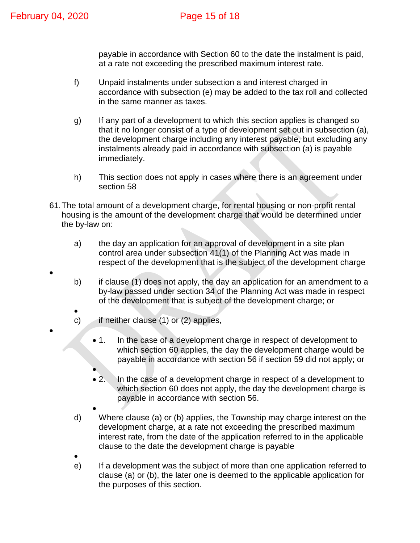•

•

payable in accordance with Section 60 to the date the instalment is paid, at a rate not exceeding the prescribed maximum interest rate.

- f) Unpaid instalments under subsection a and interest charged in accordance with subsection (e) may be added to the tax roll and collected in the same manner as taxes.
- g) If any part of a development to which this section applies is changed so that it no longer consist of a type of development set out in subsection (a), the development charge including any interest payable, but excluding any instalments already paid in accordance with subsection (a) is payable immediately.
- h) This section does not apply in cases where there is an agreement under section 58
- 61.The total amount of a development charge, for rental housing or non-profit rental housing is the amount of the development charge that would be determined under the by-law on:
	- a) the day an application for an approval of development in a site plan control area under subsection 41(1) of the Planning Act was made in respect of the development that is the subject of the development charge
	- b) if clause (1) does not apply, the day an application for an amendment to a by-law passed under section 34 of the Planning Act was made in respect of the development that is subject of the development charge; or
	- c) if neither clause (1) or (2) applies,
		- 1. In the case of a development charge in respect of development to which section 60 applies, the day the development charge would be
			- payable in accordance with section 56 if section 59 did not apply; or
			- 2. In the case of a development charge in respect of a development to which section 60 does not apply, the day the development charge is payable in accordance with section 56.
	- d) Where clause (a) or (b) applies, the Township may charge interest on the development charge, at a rate not exceeding the prescribed maximum interest rate, from the date of the application referred to in the applicable clause to the date the development charge is payable
	- •

•

e) If a development was the subject of more than one application referred to clause (a) or (b), the later one is deemed to the applicable application for the purposes of this section.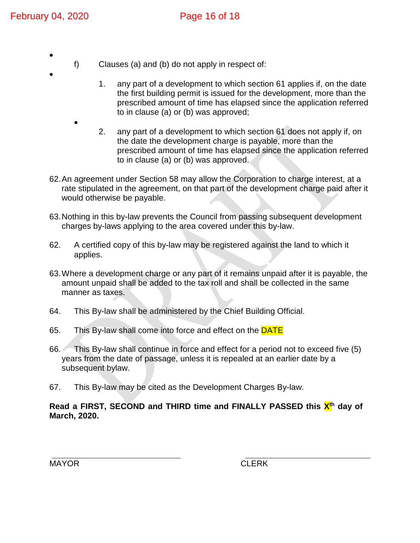•

•

•

- f) Clauses (a) and (b) do not apply in respect of:
	- 1. any part of a development to which section 61 applies if, on the date the first building permit is issued for the development, more than the prescribed amount of time has elapsed since the application referred to in clause (a) or (b) was approved;
	- 2. any part of a development to which section 61 does not apply if, on the date the development charge is payable, more than the prescribed amount of time has elapsed since the application referred to in clause (a) or (b) was approved.
- 62.An agreement under Section 58 may allow the Corporation to charge interest, at a rate stipulated in the agreement, on that part of the development charge paid after it would otherwise be payable.
- 63.Nothing in this by-law prevents the Council from passing subsequent development charges by-laws applying to the area covered under this by-law.
- 62. A certified copy of this by-law may be registered against the land to which it applies.
- 63.Where a development charge or any part of it remains unpaid after it is payable, the amount unpaid shall be added to the tax roll and shall be collected in the same manner as taxes.
- 64. This By-law shall be administered by the Chief Building Official.
- 65. This By-law shall come into force and effect on the **DATE**
- 66. This By-law shall continue in force and effect for a period not to exceed five (5) years from the date of passage, unless it is repealed at an earlier date by a subsequent bylaw.
- 67. This By-law may be cited as the Development Charges By-law.

#### **Read a FIRST, SECOND and THIRD time and FINALLY PASSED this Xth day of March, 2020.**

MAYOR **CLERK** 

 $\overline{a}$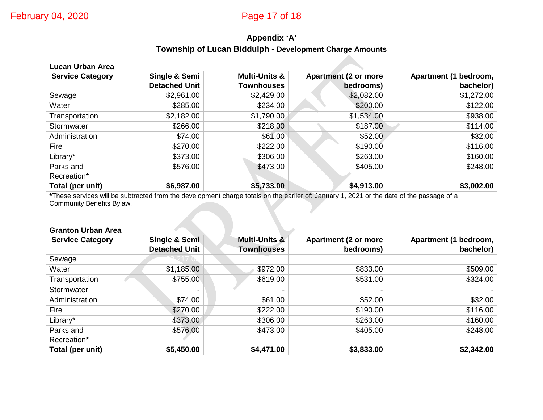# **Appendix 'A' Township of Lucan Biddulph - Development Charge Amounts**

| Lucan Urban Area        |                      |                          |                             |                       |  |  |
|-------------------------|----------------------|--------------------------|-----------------------------|-----------------------|--|--|
| <b>Service Category</b> | Single & Semi        | <b>Multi-Units &amp;</b> | <b>Apartment (2 or more</b> | Apartment (1 bedroom, |  |  |
|                         | <b>Detached Unit</b> | <b>Townhouses</b>        | bedrooms)                   | bachelor)             |  |  |
| Sewage                  | \$2,961.00           | \$2,429.00               | \$2,082.00                  | \$1,272.00            |  |  |
| Water                   | \$285.00             | \$234.00                 | \$200.00                    | \$122.00              |  |  |
| Transportation          | \$2,182.00           | \$1,790.00               | \$1,534.00                  | \$938.00              |  |  |
| Stormwater              | \$266.00             | \$218.00                 | \$187.00                    | \$114.00              |  |  |
| Administration          | \$74.00              | \$61.00                  | \$52.00                     | \$32.00               |  |  |
| Fire                    | \$270.00             | \$222.00                 | \$190.00                    | \$116.00              |  |  |
| Library*                | \$373.00             | \$306.00                 | \$263.00                    | \$160.00              |  |  |
| Parks and               | \$576.00             | \$473.00                 | \$405.00                    | \$248.00              |  |  |
| Recreation*             |                      |                          |                             |                       |  |  |
| Total (per unit)        | \$6,987.00           | \$5,733.00               | \$4,913.00                  | \$3,002.00            |  |  |

**\***These services will be subtracted from the development charge totals on the earlier of: January 1, 2021 or the date of the passage of a Community Benefits Bylaw.

#### **Granton Urban Area**

| <b>Service Category</b> | Single & Semi        | Multi-Units &     | <b>Apartment (2 or more</b> | Apartment (1 bedroom, |
|-------------------------|----------------------|-------------------|-----------------------------|-----------------------|
|                         | <b>Detached Unit</b> | <b>Townhouses</b> | bedrooms)                   | bachelor)             |
| Sewage                  |                      |                   |                             |                       |
| Water                   | \$1,185.00           | \$972.00          | \$833.00                    | \$509.00              |
| Transportation          | \$755.00             | \$619.00          | \$531.00                    | \$324.00              |
| Stormwater              |                      |                   |                             |                       |
| Administration          | \$74.00              | \$61.00           | \$52.00                     | \$32.00               |
| Fire                    | \$270.00             | \$222.00          | \$190.00                    | \$116.00              |
| Library*                | \$373.00             | \$306.00          | \$263.00                    | \$160.00              |
| Parks and               | \$576.00             | \$473.00          | \$405.00                    | \$248.00              |
| Recreation*             |                      |                   |                             |                       |
| Total (per unit)        | \$5,450.00           | \$4,471.00        | \$3,833.00                  | \$2,342.00            |